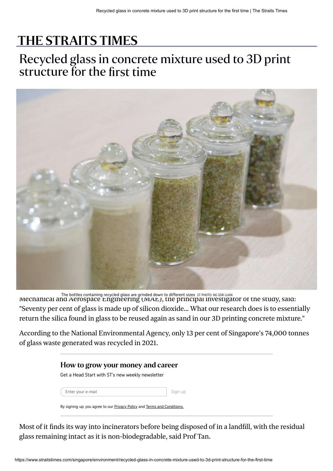## [THE STRAITS TIMES](https://www.straitstimes.com/)

## Recycled glass in concrete mixture used to 3D print structure for the first time



The bottles containing recycled glass are grinded down to different sizes ST PHOTO: NG SOR LUAN<br>INECNANICAI AND AETOSPACE ENGINEETING (IVIAE), THE PTINCIPAI INVESTIGATOT OT THE STUDY, SAID: "Seventy per cent of glass is made up of silicon dioxide... What our research does is to essentially return the silica found in glass to be reused again as sand in our 3D printing concrete mixture."

According to the National Environmental Agency, only 13 per cent of Singapore's 74,000 tonnes of glass waste generated was recycled in 2021.

| How to grow your money and career                                                      |         |  |
|----------------------------------------------------------------------------------------|---------|--|
| Get a Head Start with ST's new weekly newsletter                                       |         |  |
| Enter your e-mail                                                                      | Sign up |  |
| By signing up, you agree to our <b>Privacy Policy</b> and <b>Terms</b> and Conditions. |         |  |

Most of it finds its way into incinerators before being disposed of in a landfill, with the residual glass remaining intact as it is non-biodegradable, said Prof Tan.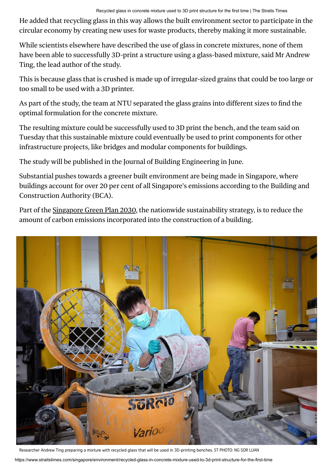He added that recycling glass in this way allows the built environment sector to participate in the circular economy by creating new uses for waste products, thereby making it more sustainable.

While scientists elsewhere have described the use of glass in concrete mixtures, none of them have been able to successfully 3D-print a structure using a glass-based mixture, said Mr Andrew Ting, the lead author of the study.

This is because glass that is crushed is made up of irregular-sized grains that could be too large or too small to be used with a 3D printer.

As part of the study, the team at NTU separated the glass grains into different sizes to find the optimal formulation for the concrete mixture.

The resulting mixture could be successfully used to 3D print the bench, and the team said on Tuesday that this sustainable mixture could eventually be used to print components for other infrastructure projects, like bridges and modular components for buildings.

The study will be published in the Journal of Building Engineering in June.

Substantial pushes towards a greener built environment are being made in Singapore, where buildings account for over 20 per cent of all Singapore's emissions according to the Building and Construction Authority (BCA).

Part of the [Singapore Green Plan 2030,](https://www.straitstimes.com/singapore/environment/singapore-green-plan-2030-to-change-the-way-people-live-work-study-and-play) the nationwide sustainability strategy, is to reduce the amount of carbon emissions incorporated into the construction of a building.



https://www.straitstimes.com/singapore/environment/recycled-glass-in-concrete-mixture-used-to-3d-print-structure-for-the-first-time Researcher Andrew Ting preparing a mixture with recycled glass that will be used in 3D-printing benches. ST PHOTO: NG SOR LUAN